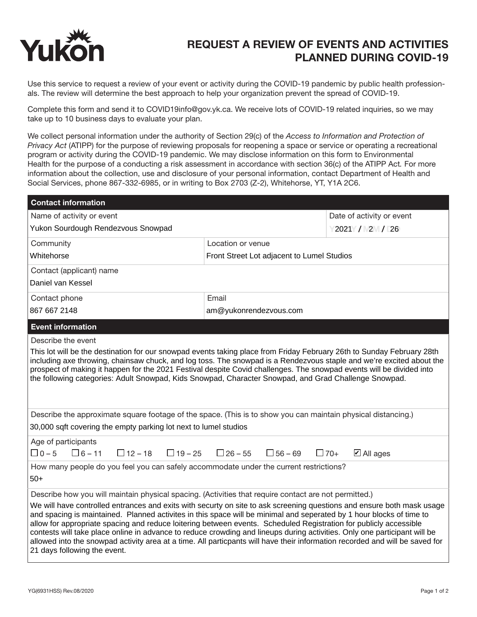

## REQUEST A REVIEW OF EVENTS AND ACTIVITIES PLANNED DURING COVID-19

Use this service to request a review of your event or activity during the COVID-19 pandemic by public health professionals. The review will determine the best approach to help your organization prevent the spread of COVID-19.

Complete this form and send it to COVID19info@gov.yk.ca. We receive lots of COVID-19 related inquiries, so we may take up to 10 business days to evaluate your plan.

We collect personal information under the authority of Section 29(c) of the *Access to Information and Protection of Privacy Act* (ATIPP) for the purpose of reviewing proposals for reopening a space or service or operating a recreational program or activity during the COVID-19 pandemic. We may disclose information on this form to Environmental Health for the purpose of a conducting a risk assessment in accordance with section 36(c) of the ATIPP Act*.* For more information about the collection, use and disclosure of your personal information, contact Department of Health and Social Services, phone 867-332-6985, or in writing to Box 2703 (Z-2), Whitehorse, YT, Y1A 2C6.

| <b>Contact information</b>                                                                                                                                                                                                                                                                                                                                                                                                                                                                                                                                                                                                                                       |                                                 |                                    |
|------------------------------------------------------------------------------------------------------------------------------------------------------------------------------------------------------------------------------------------------------------------------------------------------------------------------------------------------------------------------------------------------------------------------------------------------------------------------------------------------------------------------------------------------------------------------------------------------------------------------------------------------------------------|-------------------------------------------------|------------------------------------|
| Name of activity or event                                                                                                                                                                                                                                                                                                                                                                                                                                                                                                                                                                                                                                        |                                                 | Date of activity or event          |
| Yukon Sourdough Rendezvous Snowpad                                                                                                                                                                                                                                                                                                                                                                                                                                                                                                                                                                                                                               |                                                 | 2021 / 2 / 26                      |
| Community                                                                                                                                                                                                                                                                                                                                                                                                                                                                                                                                                                                                                                                        | Location or venue                               |                                    |
| Whitehorse                                                                                                                                                                                                                                                                                                                                                                                                                                                                                                                                                                                                                                                       | Front Street Lot adjacent to Lumel Studios      |                                    |
| Contact (applicant) name                                                                                                                                                                                                                                                                                                                                                                                                                                                                                                                                                                                                                                         |                                                 |                                    |
| Daniel van Kessel                                                                                                                                                                                                                                                                                                                                                                                                                                                                                                                                                                                                                                                |                                                 |                                    |
| Contact phone                                                                                                                                                                                                                                                                                                                                                                                                                                                                                                                                                                                                                                                    | Email                                           |                                    |
| 867 667 2148                                                                                                                                                                                                                                                                                                                                                                                                                                                                                                                                                                                                                                                     | am@yukonrendezvous.com                          |                                    |
| <b>Event information</b>                                                                                                                                                                                                                                                                                                                                                                                                                                                                                                                                                                                                                                         |                                                 |                                    |
| Describe the event                                                                                                                                                                                                                                                                                                                                                                                                                                                                                                                                                                                                                                               |                                                 |                                    |
| including axe throwing, chainsaw chuck, and log toss. The snowpad is a Rendezvous staple and we're excited about the<br>prospect of making it happen for the 2021 Festival despite Covid challenges. The snowpad events will be divided into<br>the following categories: Adult Snowpad, Kids Snowpad, Character Snowpad, and Grad Challenge Snowpad.                                                                                                                                                                                                                                                                                                            |                                                 |                                    |
| Describe the approximate square footage of the space. (This is to show you can maintain physical distancing.)                                                                                                                                                                                                                                                                                                                                                                                                                                                                                                                                                    |                                                 |                                    |
| 30,000 sqft covering the empty parking lot next to lumel studios                                                                                                                                                                                                                                                                                                                                                                                                                                                                                                                                                                                                 |                                                 |                                    |
| Age of participants<br>$\Box 0 - 5$ $\Box 6 - 11$<br>$\Box$ 12 – 18                                                                                                                                                                                                                                                                                                                                                                                                                                                                                                                                                                                              | $\Box$ 19 – 25 $\Box$ 26 – 55<br>$\Box$ 56 – 69 | $\Box$ 70+<br>$\boxtimes$ All ages |
| How many people do you feel you can safely accommodate under the current restrictions?                                                                                                                                                                                                                                                                                                                                                                                                                                                                                                                                                                           |                                                 |                                    |
| $50+$                                                                                                                                                                                                                                                                                                                                                                                                                                                                                                                                                                                                                                                            |                                                 |                                    |
| Describe how you will maintain physical spacing. (Activities that require contact are not permitted.)                                                                                                                                                                                                                                                                                                                                                                                                                                                                                                                                                            |                                                 |                                    |
| We will have controlled entrances and exits with securty on site to ask screening questions and ensure both mask usage<br>and spacing is maintained. Planned activites in this space will be minimal and seperated by 1 hour blocks of time to<br>allow for appropriate spacing and reduce loitering between events. Scheduled Registration for publicly accessible<br>contests will take place online in advance to reduce crowding and lineups during activities. Only one participant will be<br>allowed into the snowpad activity area at a time. All particpants will have their information recorded and will be saved for<br>21 days following the event. |                                                 |                                    |